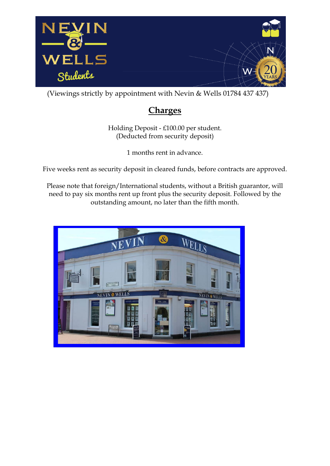

(Viewings strictly by appointment with Nevin & Wells 01784 437 437)

## **Charges**

Holding Deposit - £100.00 per student. (Deducted from security deposit)

1 months rent in advance.

Five weeks rent as security deposit in cleared funds, before contracts are approved.

Please note that foreign/International students, without a British guarantor, will need to pay six months rent up front plus the security deposit. Followed by the outstanding amount, no later than the fifth month.

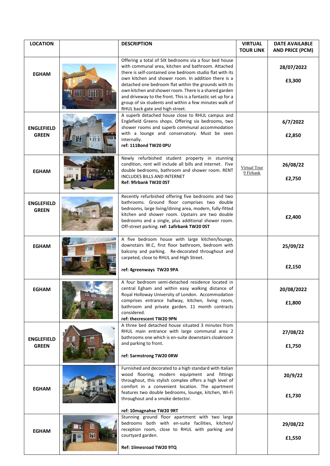| <b>LOCATION</b>                   |              | <b>DESCRIPTION</b>                                                                                                                                                                                                                                                                                                                                                                                                                                                                                           | <b>VIRTUAL</b><br><b>TOUR LINK</b> | <b>DATE AVAILABLE</b><br><b>AND PRICE (PCM)</b> |
|-----------------------------------|--------------|--------------------------------------------------------------------------------------------------------------------------------------------------------------------------------------------------------------------------------------------------------------------------------------------------------------------------------------------------------------------------------------------------------------------------------------------------------------------------------------------------------------|------------------------------------|-------------------------------------------------|
| <b>EGHAM</b>                      |              | Offering a total of SIX bedrooms via a four bed house<br>with communal area, kitchen and bathroom. Attached<br>there is self-contained one bedroom studio flat with its<br>own kitchen and shower room. In addition there is a<br>detached one bedroom flat within the grounds with its<br>own kitchen and shower room. There is a shared garden<br>and driveway to the front. This is a fantastic set up for a<br>group of six students and within a few minutes walk of<br>RHUL back gate and high street. |                                    | 28/07/2022<br>£3,300                            |
| <b>ENGLEFIELD</b><br><b>GREEN</b> | 1 I LT<br>M. | A superb detached house close to RHUL campus and<br>Englefield Greens shops. Offering six bedrooms, two<br>shower rooms and superb communal accommodation<br>with a lounge and conservatory. Must be seen<br>internally.<br>ref: 111Bond TW20 0PU                                                                                                                                                                                                                                                            |                                    | 6/7/2022<br>£2,850                              |
| <b>EGHAM</b>                      |              | Newly refurbished student property in stunning<br>condition, rent will include all bills and internet. Five<br>double bedrooms, bathroom and shower room. RENT<br><b>INCLUDES BILLS AND INTERNET</b><br>Ref: 9firbank TW20 0ST                                                                                                                                                                                                                                                                               | <b>Virtual Tour</b><br>9 Firbank   | 26/08/22<br>£2,750                              |
| <b>ENGLEFIELD</b><br><b>GREEN</b> |              | Recently refurbished offering five bedrooms and two<br>bathrooms. Ground floor comprises two double<br>bedrooms, large living/dining area, modern, fully-fitted<br>kitchen and shower room. Upstairs are two double<br>bedrooms and a single, plus additional shower room.<br>Off-street parking. ref: 1afirbank TW20 0ST                                                                                                                                                                                    |                                    | £2,400                                          |
| <b>EGHAM</b>                      |              | A five bedroom house with large kitchen/lounge,<br>downstairs W.C, first floor bathroom, bedroom with<br>balcony and parking. Re-decorated throughout and<br>carpeted, close to RHUL and High Street.<br>ref: 4greenways TW20 9PA                                                                                                                                                                                                                                                                            |                                    | 25/09/22<br>£2,150                              |
| <b>EGHAM</b>                      |              | A four bedroom semi-detached residence located in<br>central Egham and within easy walking distance of<br>Royal Holloway University of London. Accommodation<br>comprises entrance hallway, kitchen, living room,<br>bathroom and private garden. 11 month contracts<br>considered.<br>ref: thecrescent TW20 9PN                                                                                                                                                                                             |                                    | 20/08/2022<br>£1,800                            |
| <b>ENGLEFIELD</b><br><b>GREEN</b> |              | A three bed detached house situated 3 minutes from<br>RHUL main entrance with large communal area 2<br>bathrooms one which is en-suite downstairs cloakroom<br>and parking to front.<br>ref: 5armstrong TW20 0RW                                                                                                                                                                                                                                                                                             |                                    | 27/08/22<br>£1,750                              |
| <b>EGHAM</b>                      |              | Furnished and decorated to a high standard with Italian<br>wood flooring, modern equipment and fittings<br>throughout, this stylish complex offers a high level of<br>comfort in a convenient location. The apartment<br>features two double bedrooms, lounge, kitchen, Wi-Fi<br>throughout and a smoke detector.                                                                                                                                                                                            |                                    | 20/9/22<br>£1,730                               |
| <b>EGHAM</b>                      | H            | ref: 10magnahse TW20 9RT<br>Stunning ground floor apartment with two large<br>bedrooms both with en-suite facilities, kitchen/<br>reception room, close to RHUL with parking and<br>courtyard garden.<br>Ref: 1limesroad TW20 9TQ                                                                                                                                                                                                                                                                            |                                    | 29/08/22<br>£1,550                              |